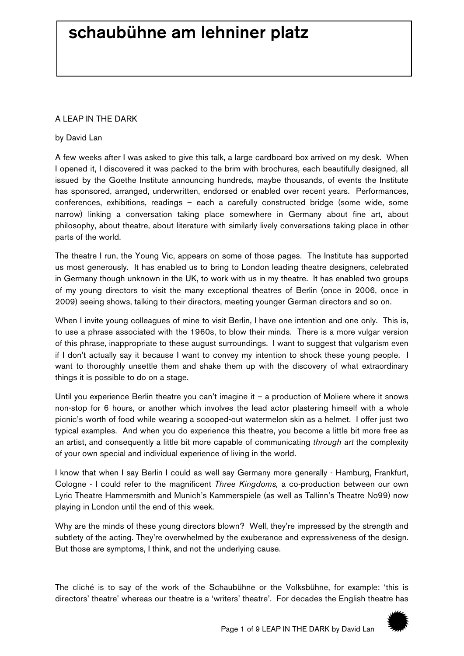## schaubühne am lehniner platz

## A LEAP IN THE DARK

## by David Lan

A few weeks after I was asked to give this talk, a large cardboard box arrived on my desk. When I opened it, I discovered it was packed to the brim with brochures, each beautifully designed, all issued by the Goethe Institute announcing hundreds, maybe thousands, of events the Institute has sponsored, arranged, underwritten, endorsed or enabled over recent years. Performances, conferences, exhibitions, readings – each a carefully constructed bridge (some wide, some narrow) linking a conversation taking place somewhere in Germany about fine art, about philosophy, about theatre, about literature with similarly lively conversations taking place in other parts of the world.

The theatre I run, the Young Vic, appears on some of those pages. The Institute has supported us most generously. It has enabled us to bring to London leading theatre designers, celebrated in Germany though unknown in the UK, to work with us in my theatre. It has enabled two groups of my young directors to visit the many exceptional theatres of Berlin (once in 2006, once in 2009) seeing shows, talking to their directors, meeting younger German directors and so on.

When I invite young colleagues of mine to visit Berlin, I have one intention and one only. This is, to use a phrase associated with the 1960s, to blow their minds. There is a more vulgar version of this phrase, inappropriate to these august surroundings. I want to suggest that vulgarism even if I don't actually say it because I want to convey my intention to shock these young people. I want to thoroughly unsettle them and shake them up with the discovery of what extraordinary things it is possible to do on a stage.

Until you experience Berlin theatre you can't imagine it  $-$  a production of Moliere where it snows non-stop for 6 hours, or another which involves the lead actor plastering himself with a whole picnic's worth of food while wearing a scooped-out watermelon skin as a helmet. I offer just two typical examples. And when you do experience this theatre, you become a little bit more free as an artist, and consequently a little bit more capable of communicating *through art* the complexity of your own special and individual experience of living in the world.

I know that when I say Berlin I could as well say Germany more generally - Hamburg, Frankfurt, Cologne - I could refer to the magnificent *Three Kingdoms,* a co-production between our own Lyric Theatre Hammersmith and Munich's Kammerspiele (as well as Tallinn's Theatre No99) now playing in London until the end of this week.

Why are the minds of these young directors blown? Well, they're impressed by the strength and subtlety of the acting. They're overwhelmed by the exuberance and expressiveness of the design. But those are symptoms, I think, and not the underlying cause.

The cliché is to say of the work of the Schaubühne or the Volksbühne, for example: 'this is directors' theatre' whereas our theatre is a 'writers' theatre'. For decades the English theatre has

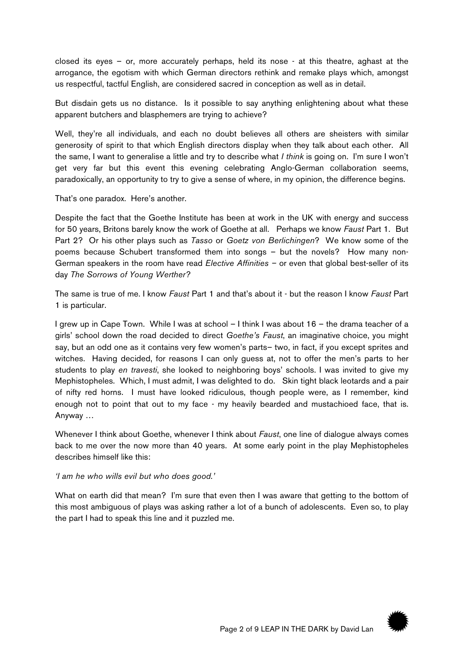closed its eyes – or, more accurately perhaps, held its nose - at this theatre, aghast at the arrogance, the egotism with which German directors rethink and remake plays which, amongst us respectful, tactful English, are considered sacred in conception as well as in detail.

But disdain gets us no distance. Is it possible to say anything enlightening about what these apparent butchers and blasphemers are trying to achieve?

Well, they're all individuals, and each no doubt believes all others are sheisters with similar generosity of spirit to that which English directors display when they talk about each other. All the same, I want to generalise a little and try to describe what *I think* is going on. I'm sure I won't get very far but this event this evening celebrating Anglo-German collaboration seems, paradoxically, an opportunity to try to give a sense of where, in my opinion, the difference begins.

That's one paradox. Here's another.

Despite the fact that the Goethe Institute has been at work in the UK with energy and success for 50 years, Britons barely know the work of Goethe at all. Perhaps we know *Faust* Part 1*.* But Part 2? Or his other plays such as *Tasso* or *Goetz von Berlichingen*? We know some of the poems because Schubert transformed them into songs – but the novels? How many non-German speakers in the room have read *Elective Affinities –* or even that global best-seller of its day *The Sorrows of Young Werther?* 

The same is true of me. I know *Faust* Part 1 and that's about it - but the reason I know *Faust* Part 1 is particular.

I grew up in Cape Town. While I was at school – I think I was about 16 – the drama teacher of a girls' school down the road decided to direct *Goethe's Faust*, an imaginative choice, you might say, but an odd one as it contains very few women's parts– two, in fact, if you except sprites and witches. Having decided, for reasons I can only guess at, not to offer the men's parts to her students to play *en travesti*, she looked to neighboring boys' schools. I was invited to give my Mephistopheles. Which, I must admit, I was delighted to do. Skin tight black leotards and a pair of nifty red horns. I must have looked ridiculous, though people were, as I remember, kind enough not to point that out to my face - my heavily bearded and mustachioed face, that is. Anyway …

Whenever I think about Goethe, whenever I think about *Faust*, one line of dialogue always comes back to me over the now more than 40 years. At some early point in the play Mephistopheles describes himself like this:

*'I am he who wills evil but who does good.'* 

What on earth did that mean? I'm sure that even then I was aware that getting to the bottom of this most ambiguous of plays was asking rather a lot of a bunch of adolescents. Even so, to play the part I had to speak this line and it puzzled me.

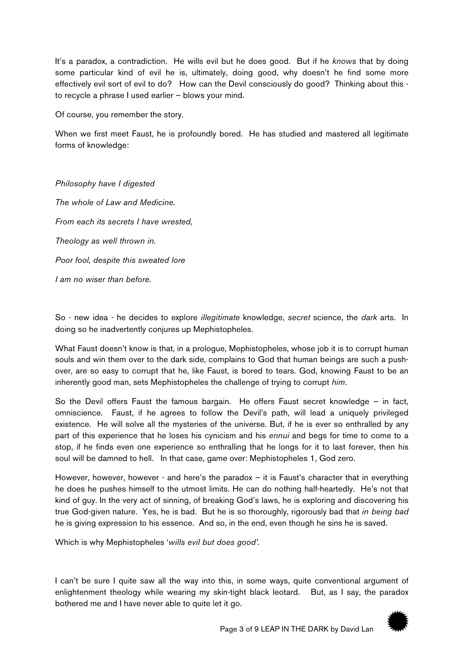It's a paradox, a contradiction. He wills evil but he does good. But if he *knows* that by doing some particular kind of evil he is, ultimately, doing good, why doesn't he find some more effectively evil sort of evil to do? How can the Devil consciously do good? Thinking about this to recycle a phrase I used earlier – blows your mind.

Of course, you remember the story.

When we first meet Faust, he is profoundly bored. He has studied and mastered all legitimate forms of knowledge:

*Philosophy have I digested The whole of Law and Medicine. From each its secrets I have wrested, Theology as well thrown in. Poor fool, despite this sweated lore I am no wiser than before.*

So - new idea - he decides to explore *illegitimate* knowledge, *secret* science, the *dark* arts. In doing so he inadvertently conjures up Mephistopheles.

What Faust doesn't know is that, in a prologue, Mephistopheles, whose job it is to corrupt human souls and win them over to the dark side, complains to God that human beings are such a pushover, are so easy to corrupt that he, like Faust, is bored to tears. God, knowing Faust to be an inherently good man, sets Mephistopheles the challenge of trying to corrupt *him*.

So the Devil offers Faust the famous bargain. He offers Faust secret knowledge – in fact, omniscience. Faust, if he agrees to follow the Devil's path, will lead a uniquely privileged existence. He will solve all the mysteries of the universe. But, if he is ever so enthralled by any part of this experience that he loses his cynicism and his *ennui* and begs for time to come to a stop, if he finds even one experience so enthralling that he longs for it to last forever, then his soul will be damned to hell. In that case, game over: Mephistopheles 1, God zero.

However, however, however - and here's the paradox – it is Faust's character that in everything he does he pushes himself to the utmost limits. He can do nothing half-heartedly. He's not that kind of guy. In the very act of sinning, of breaking God's laws, he is exploring and discovering his true God-given nature. Yes, he is bad. But he is so thoroughly, rigorously bad that *in being bad* he is giving expression to his essence. And so, in the end, even though he sins he is saved.

Which is why Mephistopheles '*wills evil but does good'.*

I can't be sure I quite saw all the way into this, in some ways, quite conventional argument of enlightenment theology while wearing my skin-tight black leotard. But, as I say, the paradox bothered me and I have never able to quite let it go.

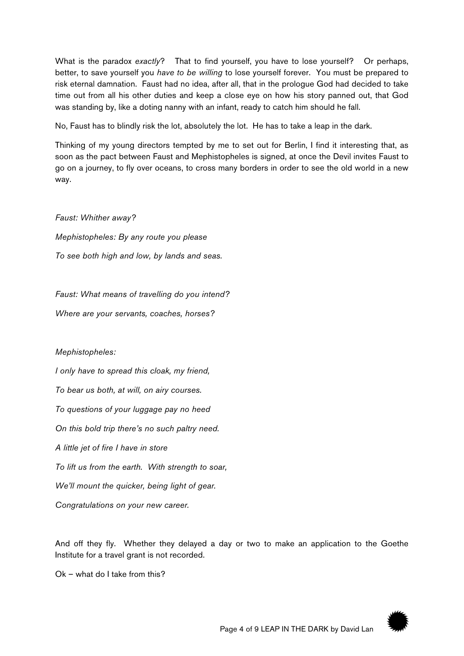What is the paradox *exactly*? That to find yourself, you have to lose yourself? Or perhaps, better, to save yourself you *have to be willing* to lose yourself forever. You must be prepared to risk eternal damnation. Faust had no idea, after all, that in the prologue God had decided to take time out from all his other duties and keep a close eye on how his story panned out, that God was standing by, like a doting nanny with an infant, ready to catch him should he fall.

No, Faust has to blindly risk the lot, absolutely the lot. He has to take a leap in the dark.

Thinking of my young directors tempted by me to set out for Berlin, I find it interesting that, as soon as the pact between Faust and Mephistopheles is signed, at once the Devil invites Faust to go on a journey, to fly over oceans, to cross many borders in order to see the old world in a new way.

*Faust: Whither away? Mephistopheles: By any route you please To see both high and low, by lands and seas.*

*Faust: What means of travelling do you intend?*

*Where are your servants, coaches, horses?*

*Mephistopheles:* 

*I only have to spread this cloak, my friend,*

*To bear us both, at will, on airy courses.*

*To questions of your luggage pay no heed*

*On this bold trip there's no such paltry need.*

*A little jet of fire I have in store*

*To lift us from the earth. With strength to soar,*

*We'll mount the quicker, being light of gear.*

*Congratulations on your new career.*

And off they fly. Whether they delayed a day or two to make an application to the Goethe Institute for a travel grant is not recorded.

Ok – what do I take from this?

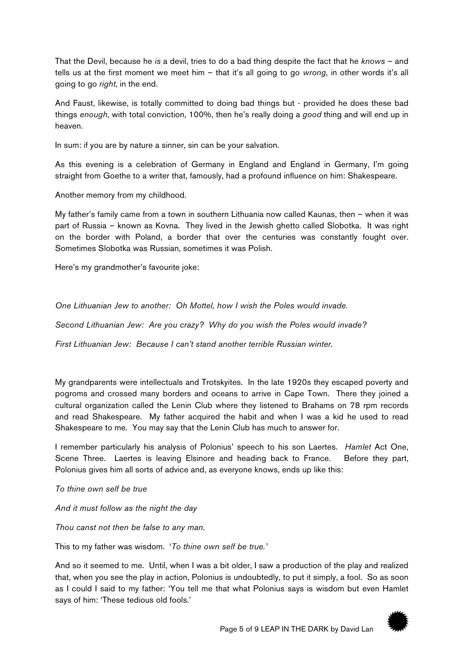That the Devil, because he *is* a devil, tries to do a bad thing despite the fact that he *knows* – and tells us at the first moment we meet him – that it's all going to go *wrong*, in other words it's all going to go *right*, in the end.

And Faust, likewise, is totally committed to doing bad things but - provided he does these bad things *enough*, with total conviction, 100%, then he's really doing a *good* thing and will end up in heaven.

In sum: if you are by nature a sinner, sin can be your salvation.

As this evening is a celebration of Germany in England and England in Germany, I'm going straight from Goethe to a writer that, famously, had a profound influence on him: Shakespeare.

Another memory from my childhood.

My father's family came from a town in southern Lithuania now called Kaunas, then – when it was part of Russia – known as Kovna. They lived in the Jewish ghetto called Slobotka. It was right on the border with Poland, a border that over the centuries was constantly fought over. Sometimes Slobotka was Russian, sometimes it was Polish.

Here's my grandmother's favourite joke:

*One Lithuanian Jew to another: Oh Mottel, how I wish the Poles would invade.*

*Second Lithuanian Jew: Are you crazy? Why do you wish the Poles would invade?* 

*First Lithuanian Jew: Because I can't stand another terrible Russian winter.*

My grandparents were intellectuals and Trotskyites. In the late 1920s they escaped poverty and pogroms and crossed many borders and oceans to arrive in Cape Town. There they joined a cultural organization called the Lenin Club where they listened to Brahams on 78 rpm records and read Shakespeare. My father acquired the habit and when I was a kid he used to read Shakespeare to me. You may say that the Lenin Club has much to answer for.

I remember particularly his analysis of Polonius' speech to his son Laertes. *Hamlet* Act One, Scene Three. Laertes is leaving Elsinore and heading back to France. Before they part, Polonius gives him all sorts of advice and, as everyone knows, ends up like this:

*To thine own self be true*

*And it must follow as the night the day*

*Thou canst not then be false to any man.*

This to my father was wisdom. '*To thine own self be true.'*

And so it seemed to me. Until, when I was a bit older, I saw a production of the play and realized that, when you see the play in action, Polonius is undoubtedly, to put it simply, a fool. So as soon as I could I said to my father: 'You tell me that what Polonius says is wisdom but even Hamlet says of him: 'These tedious old fools.'

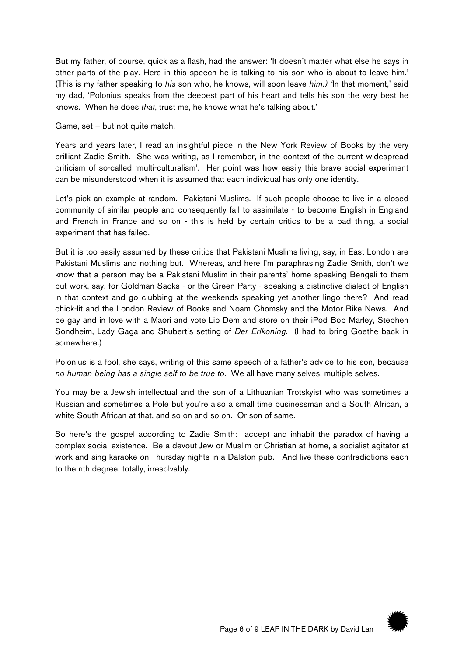But my father, of course, quick as a flash, had the answer: 'It doesn't matter what else he says in other parts of the play. Here in this speech he is talking to his son who is about to leave him.' (This is my father speaking to *his* son who, he knows, will soon leave *him.) '*In that moment,' said my dad, 'Polonius speaks from the deepest part of his heart and tells his son the very best he knows. When he does *that*, trust me, he knows what he's talking about.'

Game, set – but not quite match.

Years and years later, I read an insightful piece in the New York Review of Books by the very brilliant Zadie Smith. She was writing, as I remember, in the context of the current widespread criticism of so-called 'multi-culturalism'. Her point was how easily this brave social experiment can be misunderstood when it is assumed that each individual has only one identity.

Let's pick an example at random. Pakistani Muslims. If such people choose to live in a closed community of similar people and consequently fail to assimilate - to become English in England and French in France and so on - this is held by certain critics to be a bad thing, a social experiment that has failed.

But it is too easily assumed by these critics that Pakistani Muslims living, say, in East London are Pakistani Muslims and nothing but. Whereas, and here I'm paraphrasing Zadie Smith, don't we know that a person may be a Pakistani Muslim in their parents' home speaking Bengali to them but work, say, for Goldman Sacks - or the Green Party - speaking a distinctive dialect of English in that context and go clubbing at the weekends speaking yet another lingo there? And read chick-lit and the London Review of Books and Noam Chomsky and the Motor Bike News. And be gay and in love with a Maori and vote Lib Dem and store on their iPod Bob Marley, Stephen Sondheim, Lady Gaga and Shubert's setting of *Der Erlkoning*. (I had to bring Goethe back in somewhere.)

Polonius is a fool, she says, writing of this same speech of a father's advice to his son, because *no human being has a single self to be true to*. We all have many selves, multiple selves.

You may be a Jewish intellectual and the son of a Lithuanian Trotskyist who was sometimes a Russian and sometimes a Pole but you're also a small time businessman and a South African, a white South African at that, and so on and so on. Or son of same.

So here's the gospel according to Zadie Smith: accept and inhabit the paradox of having a complex social existence. Be a devout Jew or Muslim or Christian at home, a socialist agitator at work and sing karaoke on Thursday nights in a Dalston pub. And live these contradictions each to the nth degree, totally, irresolvably.

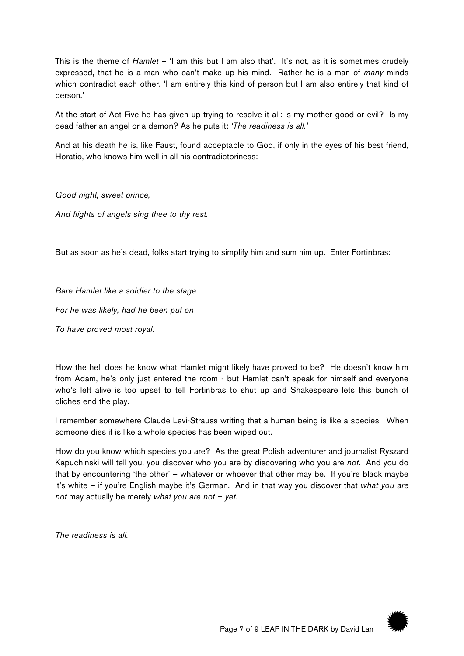This is the theme of *Hamlet* – 'I am this but I am also that'. It's not, as it is sometimes crudely expressed, that he is a man who can't make up his mind. Rather he is a man of *many* minds which contradict each other. 'I am entirely this kind of person but I am also entirely that kind of person.'

At the start of Act Five he has given up trying to resolve it all: is my mother good or evil? Is my dead father an angel or a demon? As he puts it: *'The readiness is all.'*

And at his death he is, like Faust, found acceptable to God, if only in the eyes of his best friend, Horatio, who knows him well in all his contradictoriness:

*Good night, sweet prince,* 

*And flights of angels sing thee to thy rest.*

But as soon as he's dead, folks start trying to simplify him and sum him up. Enter Fortinbras:

## *Bare Hamlet like a soldier to the stage*

*For he was likely, had he been put on*

*To have proved most royal.*

How the hell does he know what Hamlet might likely have proved to be? He doesn't know him from Adam, he's only just entered the room - but Hamlet can't speak for himself and everyone who's left alive is too upset to tell Fortinbras to shut up and Shakespeare lets this bunch of cliches end the play.

I remember somewhere Claude Levi-Strauss writing that a human being is like a species. When someone dies it is like a whole species has been wiped out.

How do you know which species you are? As the great Polish adventurer and journalist Ryszard Kapuchinski will tell you, you discover who you are by discovering who you are *not*. And you do that by encountering 'the other' – whatever or whoever that other may be. If you're black maybe it's white – if you're English maybe it's German. And in that way you discover that *what you are not* may actually be merely *what you are not – yet.*

*The readiness is all.*

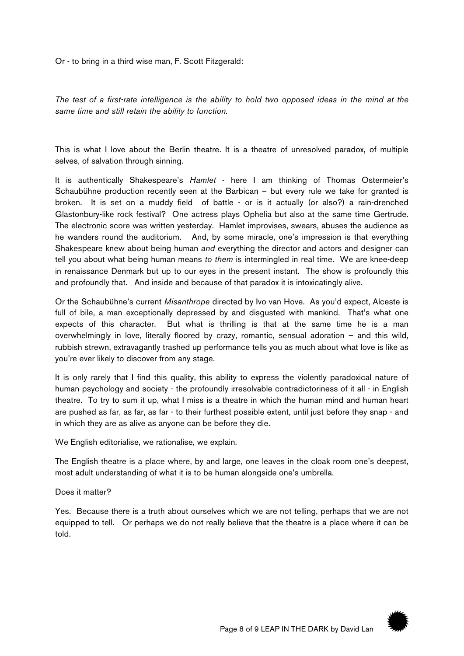Or - to bring in a third wise man, F. Scott Fitzgerald:

*The test of a first-rate intelligence is the ability to hold two opposed ideas in the mind at the same time and still retain the ability to function.*

This is what I love about the Berlin theatre. It is a theatre of unresolved paradox, of multiple selves, of salvation through sinning.

It is authentically Shakespeare's *Hamlet* - here I am thinking of Thomas Ostermeier's Schaubühne production recently seen at the Barbican – but every rule we take for granted is broken. It is set on a muddy field of battle - or is it actually (or also?) a rain-drenched Glastonbury-like rock festival? One actress plays Ophelia but also at the same time Gertrude. The electronic score was written yesterday. Hamlet improvises, swears, abuses the audience as he wanders round the auditorium. And, by some miracle, one's impression is that everything Shakespeare knew about being human *and* everything the director and actors and designer can tell you about what being human means *to them* is intermingled in real time. We are knee-deep in renaissance Denmark but up to our eyes in the present instant. The show is profoundly this and profoundly that. And inside and because of that paradox it is intoxicatingly alive.

Or the Schaubühne's current *Misanthrope* directed by Ivo van Hove. As you'd expect, Alceste is full of bile, a man exceptionally depressed by and disgusted with mankind. That's what one expects of this character. But what is thrilling is that at the same time he is a man overwhelmingly in love, literally floored by crazy, romantic, sensual adoration – and this wild, rubbish strewn, extravagantly trashed up performance tells you as much about what love is like as you're ever likely to discover from any stage.

It is only rarely that I find this quality, this ability to express the violently paradoxical nature of human psychology and society - the profoundly irresolvable contradictoriness of it all - in English theatre. To try to sum it up, what I miss is a theatre in which the human mind and human heart are pushed as far, as far, as far - to their furthest possible extent, until just before they snap - and in which they are as alive as anyone can be before they die.

We English editorialise, we rationalise, we explain.

The English theatre is a place where, by and large, one leaves in the cloak room one's deepest, most adult understanding of what it is to be human alongside one's umbrella.

Does it matter?

Yes. Because there is a truth about ourselves which we are not telling, perhaps that we are not equipped to tell. Or perhaps we do not really believe that the theatre is a place where it can be told.